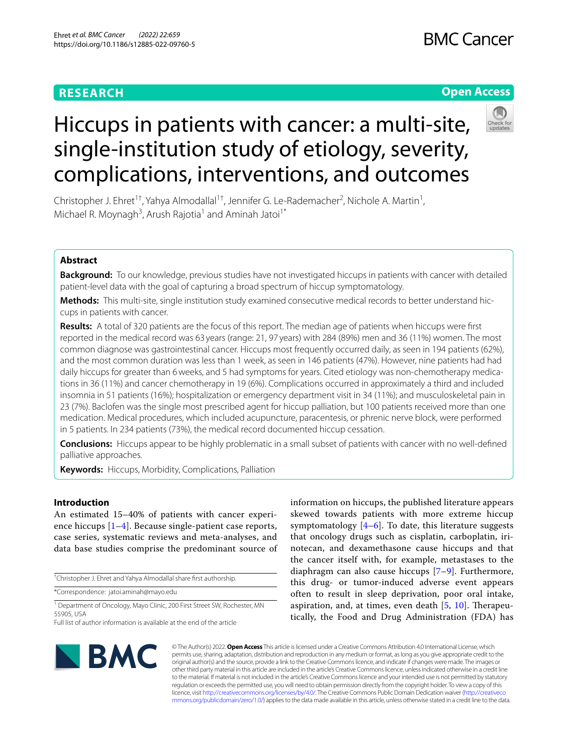# **RESEARCH**

# **Open Access**



# Hiccups in patients with cancer: a multi-site, single-institution study of etiology, severity, complications, interventions, and outcomes

Christopher J. Ehret<sup>1†</sup>, Yahya Almodallal<sup>1†</sup>, Jennifer G. Le-Rademacher<sup>2</sup>, Nichole A. Martin<sup>1</sup>, Michael R. Moynagh<sup>3</sup>, Arush Rajotia<sup>1</sup> and Aminah Jatoi<sup>1\*</sup>

# **Abstract**

**Background:** To our knowledge, previous studies have not investigated hiccups in patients with cancer with detailed patient-level data with the goal of capturing a broad spectrum of hiccup symptomatology.

Methods: This multi-site, single institution study examined consecutive medical records to better understand hiccups in patients with cancer.

**Results:** A total of 320 patients are the focus of this report. The median age of patients when hiccups were frst reported in the medical record was 63 years (range: 21, 97 years) with 284 (89%) men and 36 (11%) women. The most common diagnose was gastrointestinal cancer. Hiccups most frequently occurred daily, as seen in 194 patients (62%), and the most common duration was less than 1 week, as seen in 146 patients (47%). However, nine patients had had daily hiccups for greater than 6 weeks, and 5 had symptoms for years. Cited etiology was non-chemotherapy medications in 36 (11%) and cancer chemotherapy in 19 (6%). Complications occurred in approximately a third and included insomnia in 51 patients (16%); hospitalization or emergency department visit in 34 (11%); and musculoskeletal pain in 23 (7%). Baclofen was the single most prescribed agent for hiccup palliation, but 100 patients received more than one medication. Medical procedures, which included acupuncture, paracentesis, or phrenic nerve block, were performed in 5 patients. In 234 patients (73%), the medical record documented hiccup cessation.

**Conclusions:** Hiccups appear to be highly problematic in a small subset of patients with cancer with no well-defned palliative approaches.

**Keywords:** Hiccups, Morbidity, Complications, Palliation

# **Introduction**

An estimated 15–40% of patients with cancer experience hiccups [\[1](#page-4-0)[–4](#page-4-1)]. Because single-patient case reports, case series, systematic reviews and meta-analyses, and data base studies comprise the predominant source of

† Christopher J. Ehret and Yahya Almodallal share frst authorship.

\*Correspondence: jatoi.aminah@mayo.edu

<sup>1</sup> Department of Oncology, Mayo Clinic, 200 First Street SW, Rochester, MN 55905, USA

information on hiccups, the published literature appears skewed towards patients with more extreme hiccup symptomatology  $[4-6]$  $[4-6]$  $[4-6]$ . To date, this literature suggests that oncology drugs such as cisplatin, carboplatin, irinotecan, and dexamethasone cause hiccups and that the cancer itself with, for example, metastases to the diaphragm can also cause hiccups [\[7–](#page-4-3)[9\]](#page-4-4). Furthermore, this drug- or tumor-induced adverse event appears often to result in sleep deprivation, poor oral intake, aspiration, and, at times, even death  $[5, 10]$  $[5, 10]$  $[5, 10]$  $[5, 10]$ . Therapeutically, the Food and Drug Administration (FDA) has



© The Author(s) 2022. **Open Access** This article is licensed under a Creative Commons Attribution 4.0 International License, which permits use, sharing, adaptation, distribution and reproduction in any medium or format, as long as you give appropriate credit to the original author(s) and the source, provide a link to the Creative Commons licence, and indicate if changes were made. The images or other third party material in this article are included in the article's Creative Commons licence, unless indicated otherwise in a credit line to the material. If material is not included in the article's Creative Commons licence and your intended use is not permitted by statutory regulation or exceeds the permitted use, you will need to obtain permission directly from the copyright holder. To view a copy of this licence, visit [http://creativecommons.org/licenses/by/4.0/.](http://creativecommons.org/licenses/by/4.0/) The Creative Commons Public Domain Dedication waiver ([http://creativeco](http://creativecommons.org/publicdomain/zero/1.0/) [mmons.org/publicdomain/zero/1.0/](http://creativecommons.org/publicdomain/zero/1.0/)) applies to the data made available in this article, unless otherwise stated in a credit line to the data.

Full list of author information is available at the end of the article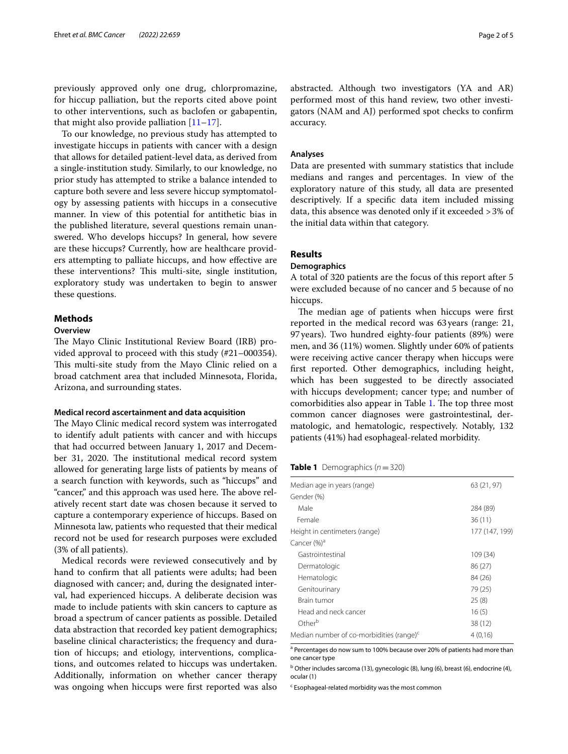previously approved only one drug, chlorpromazine, for hiccup palliation, but the reports cited above point to other interventions, such as baclofen or gabapentin, that might also provide palliation  $[11-17]$  $[11-17]$  $[11-17]$ .

To our knowledge, no previous study has attempted to investigate hiccups in patients with cancer with a design that allows for detailed patient-level data, as derived from a single-institution study. Similarly, to our knowledge, no prior study has attempted to strike a balance intended to capture both severe and less severe hiccup symptomatology by assessing patients with hiccups in a consecutive manner. In view of this potential for antithetic bias in the published literature, several questions remain unanswered. Who develops hiccups? In general, how severe are these hiccups? Currently, how are healthcare providers attempting to palliate hiccups, and how efective are these interventions? This multi-site, single institution, exploratory study was undertaken to begin to answer these questions.

# **Methods**

#### **Overview**

The Mayo Clinic Institutional Review Board (IRB) provided approval to proceed with this study (#21–000354). This multi-site study from the Mayo Clinic relied on a broad catchment area that included Minnesota, Florida, Arizona, and surrounding states.

# **Medical record ascertainment and data acquisition**

The Mayo Clinic medical record system was interrogated to identify adult patients with cancer and with hiccups that had occurred between January 1, 2017 and December 31, 2020. The institutional medical record system allowed for generating large lists of patients by means of a search function with keywords, such as "hiccups" and "cancer," and this approach was used here. The above relatively recent start date was chosen because it served to capture a contemporary experience of hiccups. Based on Minnesota law, patients who requested that their medical record not be used for research purposes were excluded (3% of all patients).

Medical records were reviewed consecutively and by hand to confrm that all patients were adults; had been diagnosed with cancer; and, during the designated interval, had experienced hiccups. A deliberate decision was made to include patients with skin cancers to capture as broad a spectrum of cancer patients as possible. Detailed data abstraction that recorded key patient demographics; baseline clinical characteristics; the frequency and duration of hiccups; and etiology, interventions, complications, and outcomes related to hiccups was undertaken. Additionally, information on whether cancer therapy was ongoing when hiccups were frst reported was also abstracted. Although two investigators (YA and AR) performed most of this hand review, two other investigators (NAM and AJ) performed spot checks to confrm accuracy.

# **Analyses**

Data are presented with summary statistics that include medians and ranges and percentages. In view of the exploratory nature of this study, all data are presented descriptively. If a specifc data item included missing data, this absence was denoted only if it exceeded >3% of the initial data within that category.

# **Results**

# **Demographics**

A total of 320 patients are the focus of this report after 5 were excluded because of no cancer and 5 because of no hiccups.

The median age of patients when hiccups were first reported in the medical record was 63years (range: 21, 97years). Two hundred eighty-four patients (89%) were men, and 36 (11%) women. Slightly under 60% of patients were receiving active cancer therapy when hiccups were frst reported. Other demographics, including height, which has been suggested to be directly associated with hiccups development; cancer type; and number of comorbidities also appear in Table [1](#page-1-0). The top three most common cancer diagnoses were gastrointestinal, dermatologic, and hematologic, respectively. Notably, 132 patients (41%) had esophageal-related morbidity.

# <span id="page-1-0"></span>**Table 1** Demographics  $(n=320)$

| Median age in years (range)                          | 63 (21, 97)    |
|------------------------------------------------------|----------------|
| Gender (%)                                           |                |
| Male                                                 | 284 (89)       |
| Female                                               | 36(11)         |
| Height in centimeters (range)                        | 177 (147, 199) |
| Cancer (%) <sup>a</sup>                              |                |
| Gastrointestinal                                     | 109 (34)       |
| Dermatologic                                         | 86 (27)        |
| Hematologic                                          | 84 (26)        |
| Genitourinary                                        | 79 (25)        |
| Brain tumor                                          | 25(8)          |
| Head and neck cancer                                 | 16(5)          |
| Other <sup>b</sup>                                   | 38 (12)        |
| Median number of co-morbidities (range) <sup>c</sup> | 4(0.16)        |
|                                                      |                |

<sup>a</sup> Percentages do now sum to 100% because over 20% of patients had more than one cancer type

<sup>b</sup> Other includes sarcoma (13), gynecologic (8), lung (6), breast (6), endocrine (4), ocular (1)

<sup>c</sup> Esophageal-related morbidity was the most common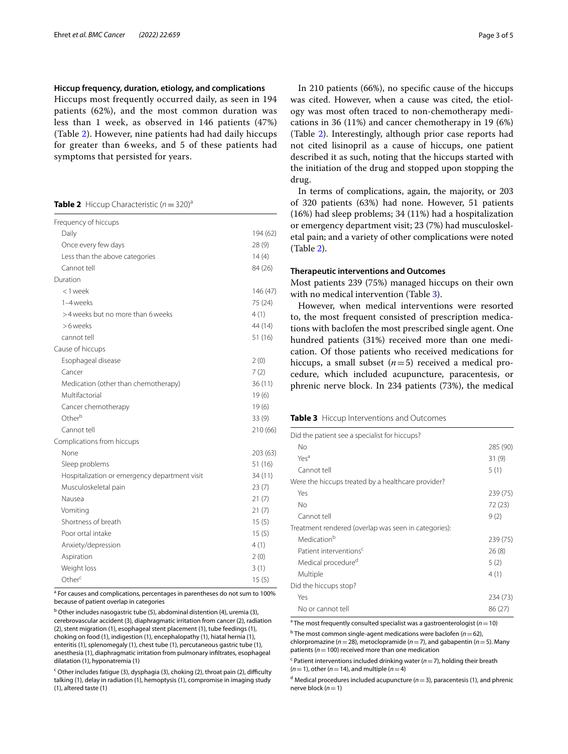# **Hiccup frequency, duration, etiology, and complications**

Hiccups most frequently occurred daily, as seen in 194 patients (62%), and the most common duration was less than 1 week, as observed in 146 patients (47%) (Table [2\)](#page-2-0). However, nine patients had had daily hiccups for greater than 6 weeks, and 5 of these patients had symptoms that persisted for years.

## <span id="page-2-0"></span>**Table 2** Hiccup Characteristic  $(n=320)^{a}$

| Frequency of hiccups                          |          |
|-----------------------------------------------|----------|
| Daily                                         | 194 (62) |
| Once every few days                           | 28 (9)   |
| Less than the above categories                | 14(4)    |
| Cannot tell                                   | 84 (26)  |
| Duration                                      |          |
| <1 week                                       | 146 (47) |
| 1-4 weeks                                     | 75 (24)  |
| >4 weeks but no more than 6 weeks             | 4(1)     |
| >6 weeks                                      | 44 (14)  |
| cannot tell                                   | 51 (16)  |
| Cause of hiccups                              |          |
| Esophageal disease                            | 2(0)     |
| Cancer                                        | 7(2)     |
| Medication (other than chemotherapy)          | 36(11)   |
| Multifactorial                                | 19(6)    |
| Cancer chemotherapy                           | 19(6)    |
| Other <sup>b</sup>                            | 33(9)    |
| Cannot tell                                   | 210 (66) |
| Complications from hiccups                    |          |
| None                                          | 203 (63) |
| Sleep problems                                | 51 (16)  |
| Hospitalization or emergency department visit | 34 (11)  |
| Musculoskeletal pain                          | 23(7)    |
| Nausea                                        | 21(7)    |
| Vomiting                                      | 21(7)    |
| Shortness of breath                           | 15(5)    |
| Poor ortal intake                             | 15(5)    |
| Anxiety/depression                            | 4(1)     |
| Aspiration                                    | 2(0)     |
| Weight loss                                   | 3(1)     |
| Other <sup>c</sup>                            | 15(5)    |

<sup>a</sup> For causes and complications, percentages in parentheses do not sum to 100% because of patient overlap in categories

<sup>b</sup> Other includes nasogastric tube (5), abdominal distention (4), uremia (3), cerebrovascular accident (3), diaphragmatic irritation from cancer (2), radiation (2), stent migration (1), esophageal stent placement (1), tube feedings (1), choking on food (1), indigestion (1), encephalopathy (1), hiatal hernia (1), enteritis (1), splenomegaly (1), chest tube (1), percutaneous gastric tube (1), anesthesia (1), diaphragmatic irritation from pulmonary infltrates, esophageal dilatation (1), hyponatremia (1)

<sup>c</sup> Other includes fatigue (3), dysphagia (3), choking (2), throat pain (2), difficulty talking (1), delay in radiation (1), hemoptysis (1), compromise in imaging study (1), altered taste (1)

In 210 patients (66%), no specifc cause of the hiccups was cited. However, when a cause was cited, the etiology was most often traced to non-chemotherapy medications in 36 (11%) and cancer chemotherapy in 19 (6%) (Table [2\)](#page-2-0). Interestingly, although prior case reports had not cited lisinopril as a cause of hiccups, one patient described it as such, noting that the hiccups started with the initiation of the drug and stopped upon stopping the drug.

In terms of complications, again, the majority, or 203 of 320 patients (63%) had none. However, 51 patients (16%) had sleep problems; 34 (11%) had a hospitalization or emergency department visit; 23 (7%) had musculoskeletal pain; and a variety of other complications were noted (Table [2\)](#page-2-0).

## **Therapeutic interventions and Outcomes**

Most patients 239 (75%) managed hiccups on their own with no medical intervention (Table [3](#page-2-1)).

However, when medical interventions were resorted to, the most frequent consisted of prescription medications with baclofen the most prescribed single agent. One hundred patients (31%) received more than one medication. Of those patients who received medications for hiccups, a small subset (*n*=5) received a medical procedure, which included acupuncture, paracentesis, or phrenic nerve block. In 234 patients (73%), the medical

#### <span id="page-2-1"></span>**Table 3** Hiccup Interventions and Outcomes

| No<br>Yes <sup>a</sup><br>31(9)<br>Cannot tell<br>5(1)<br>Were the hiccups treated by a healthcare provider?<br>Yes<br>No<br>72 (23)<br>Cannot tell<br>9(2)<br>Treatment rendered (overlap was seen in categories):<br>Medication <sup>b</sup><br>Patient interventions <sup>c</sup><br>26(8)<br>Medical procedure <sup>d</sup><br>5(2)<br>Multiple<br>4(1)<br>Did the hiccups stop?<br>Yes<br>No or cannot tell<br>86 (27) | Did the patient see a specialist for hiccups? |          |
|-----------------------------------------------------------------------------------------------------------------------------------------------------------------------------------------------------------------------------------------------------------------------------------------------------------------------------------------------------------------------------------------------------------------------------|-----------------------------------------------|----------|
|                                                                                                                                                                                                                                                                                                                                                                                                                             |                                               | 285 (90) |
|                                                                                                                                                                                                                                                                                                                                                                                                                             |                                               |          |
|                                                                                                                                                                                                                                                                                                                                                                                                                             |                                               |          |
|                                                                                                                                                                                                                                                                                                                                                                                                                             |                                               |          |
|                                                                                                                                                                                                                                                                                                                                                                                                                             |                                               | 239 (75) |
|                                                                                                                                                                                                                                                                                                                                                                                                                             |                                               |          |
|                                                                                                                                                                                                                                                                                                                                                                                                                             |                                               |          |
|                                                                                                                                                                                                                                                                                                                                                                                                                             |                                               |          |
|                                                                                                                                                                                                                                                                                                                                                                                                                             |                                               | 239 (75) |
|                                                                                                                                                                                                                                                                                                                                                                                                                             |                                               |          |
|                                                                                                                                                                                                                                                                                                                                                                                                                             |                                               |          |
|                                                                                                                                                                                                                                                                                                                                                                                                                             |                                               |          |
|                                                                                                                                                                                                                                                                                                                                                                                                                             |                                               |          |
|                                                                                                                                                                                                                                                                                                                                                                                                                             |                                               | 234 (73) |
|                                                                                                                                                                                                                                                                                                                                                                                                                             |                                               |          |

<sup>a</sup> The most frequently consulted specialist was a gastroenterologist (*n* = 10)

b The most common single-agent medications were baclofen (*n*=62),

chlorpromazine (*n*=28), metoclopramide (*n*=7), and gabapentin (*n*=5). Many patients ( $n=100$ ) received more than one medication

c Patient interventions included drinking water (*n*=7), holding their breath  $(n=1)$ , other  $(n=14)$ , and multiple  $(n=4)$ 

 $d$  Medical procedures included acupuncture  $(n=3)$ , paracentesis (1), and phrenic nerve block (*n*=1)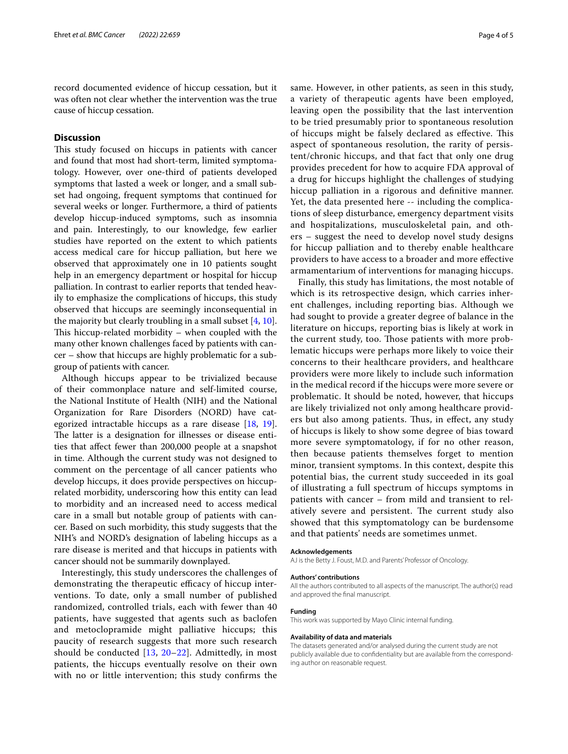record documented evidence of hiccup cessation, but it was often not clear whether the intervention was the true cause of hiccup cessation.

# **Discussion**

This study focused on hiccups in patients with cancer and found that most had short-term, limited symptomatology. However, over one-third of patients developed symptoms that lasted a week or longer, and a small subset had ongoing, frequent symptoms that continued for several weeks or longer. Furthermore, a third of patients develop hiccup-induced symptoms, such as insomnia and pain. Interestingly, to our knowledge, few earlier studies have reported on the extent to which patients access medical care for hiccup palliation, but here we observed that approximately one in 10 patients sought help in an emergency department or hospital for hiccup palliation. In contrast to earlier reports that tended heavily to emphasize the complications of hiccups, this study observed that hiccups are seemingly inconsequential in the majority but clearly troubling in a small subset [[4,](#page-4-1) [10](#page-4-6)]. This hiccup-related morbidity  $-$  when coupled with the many other known challenges faced by patients with cancer – show that hiccups are highly problematic for a subgroup of patients with cancer.

Although hiccups appear to be trivialized because of their commonplace nature and self-limited course, the National Institute of Health (NIH) and the National Organization for Rare Disorders (NORD) have categorized intractable hiccups as a rare disease [[18,](#page-4-9) [19](#page-4-10)]. The latter is a designation for illnesses or disease entities that afect fewer than 200,000 people at a snapshot in time. Although the current study was not designed to comment on the percentage of all cancer patients who develop hiccups, it does provide perspectives on hiccuprelated morbidity, underscoring how this entity can lead to morbidity and an increased need to access medical care in a small but notable group of patients with cancer. Based on such morbidity, this study suggests that the NIH's and NORD's designation of labeling hiccups as a rare disease is merited and that hiccups in patients with cancer should not be summarily downplayed.

Interestingly, this study underscores the challenges of demonstrating the therapeutic efficacy of hiccup interventions. To date, only a small number of published randomized, controlled trials, each with fewer than 40 patients, have suggested that agents such as baclofen and metoclopramide might palliative hiccups; this paucity of research suggests that more such research should be conducted  $[13, 20-22]$  $[13, 20-22]$  $[13, 20-22]$  $[13, 20-22]$ . Admittedly, in most patients, the hiccups eventually resolve on their own with no or little intervention; this study confrms the same. However, in other patients, as seen in this study, a variety of therapeutic agents have been employed, leaving open the possibility that the last intervention to be tried presumably prior to spontaneous resolution of hiccups might be falsely declared as effective. This aspect of spontaneous resolution, the rarity of persistent/chronic hiccups, and that fact that only one drug provides precedent for how to acquire FDA approval of a drug for hiccups highlight the challenges of studying hiccup palliation in a rigorous and defnitive manner. Yet, the data presented here -- including the complications of sleep disturbance, emergency department visits and hospitalizations, musculoskeletal pain, and others – suggest the need to develop novel study designs for hiccup palliation and to thereby enable healthcare providers to have access to a broader and more efective armamentarium of interventions for managing hiccups.

Finally, this study has limitations, the most notable of which is its retrospective design, which carries inherent challenges, including reporting bias. Although we had sought to provide a greater degree of balance in the literature on hiccups, reporting bias is likely at work in the current study, too. Those patients with more problematic hiccups were perhaps more likely to voice their concerns to their healthcare providers, and healthcare providers were more likely to include such information in the medical record if the hiccups were more severe or problematic. It should be noted, however, that hiccups are likely trivialized not only among healthcare providers but also among patients. Thus, in effect, any study of hiccups is likely to show some degree of bias toward more severe symptomatology, if for no other reason, then because patients themselves forget to mention minor, transient symptoms. In this context, despite this potential bias, the current study succeeded in its goal of illustrating a full spectrum of hiccups symptoms in patients with cancer – from mild and transient to relatively severe and persistent. The current study also showed that this symptomatology can be burdensome and that patients' needs are sometimes unmet.

#### **Acknowledgements**

AJ is the Betty J. Foust, M.D. and Parents' Professor of Oncology.

#### **Authors' contributions**

All the authors contributed to all aspects of the manuscript. The author(s) read and approved the fnal manuscript.

## **Funding**

This work was supported by Mayo Clinic internal funding.

#### **Availability of data and materials**

The datasets generated and/or analysed during the current study are not publicly available due to confidentiality but are available from the corresponding author on reasonable request.